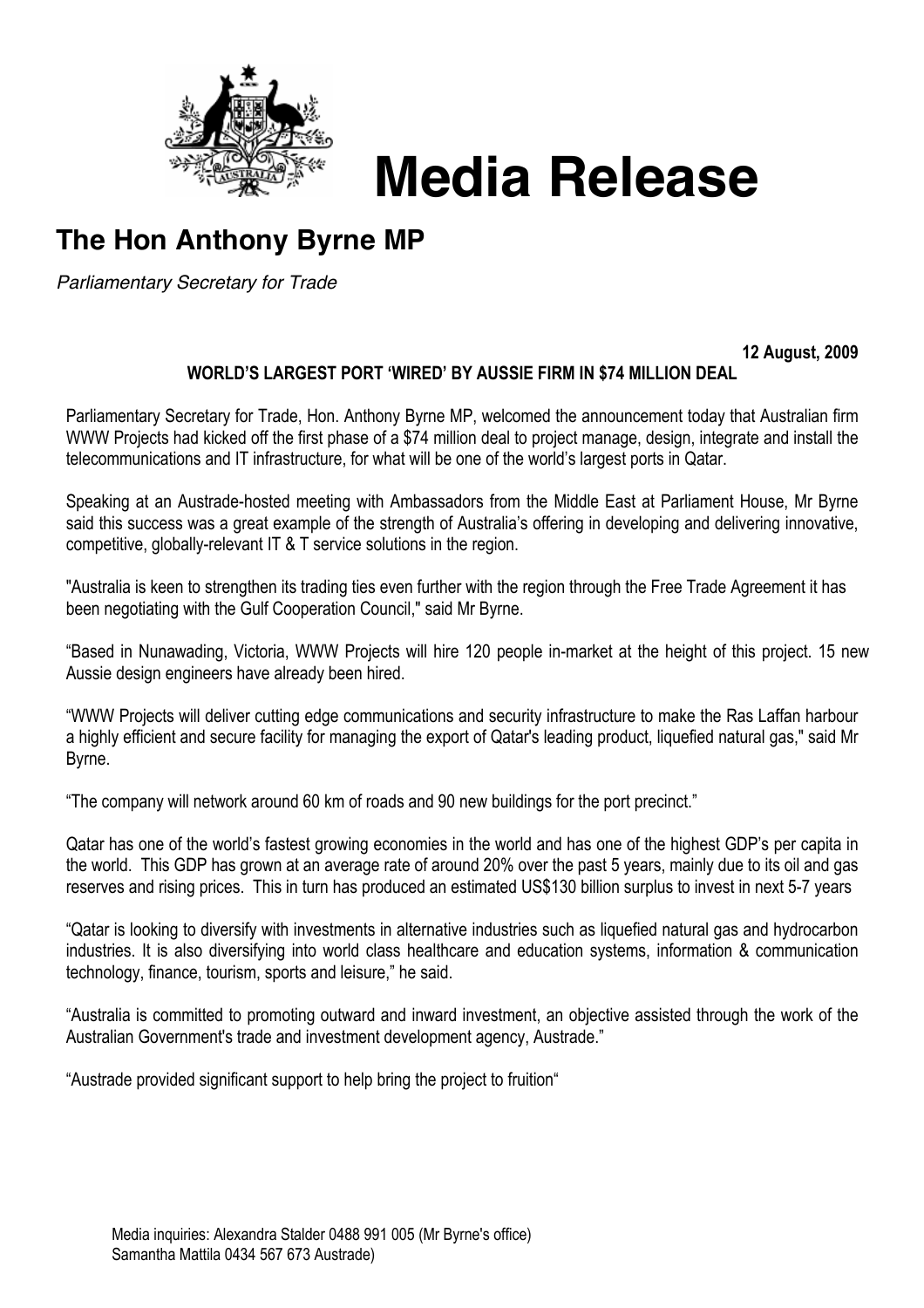

# **Media Release**

# **The Hon Anthony Byrne MP**

*Parliamentary Secretary for Trade*

## **12 August, 2009**

#### **WORLD'S LARGEST PORT 'WIRED' BY AUSSIE FIRM IN \$74 MILLION DEAL**

Parliamentary Secretary for Trade, Hon. Anthony Byrne MP, welcomed the announcement today that Australian firm WWW Projects had kicked off the first phase of a \$74 million deal to project manage, design, integrate and install the telecommunications and IT infrastructure, for what will be one of the world's largest ports in Qatar.

Speaking at an Austrade-hosted meeting with Ambassadors from the Middle East at Parliament House, Mr Byrne said this success was a great example of the strength of Australia's offering in developing and delivering innovative, competitive, globally-relevant IT & T service solutions in the region.

"Australia is keen to strengthen its trading ties even further with the region through the Free Trade Agreement it has been negotiating with the Gulf Cooperation Council," said Mr Byrne.

"Based in Nunawading, Victoria, WWW Projects will hire 120 people in-market at the height of this project. 15 new Aussie design engineers have already been hired.

"WWW Projects will deliver cutting edge communications and security infrastructure to make the Ras Laffan harbour a highly efficient and secure facility for managing the export of Qatar's leading product, liquefied natural gas," said Mr Byrne.

"The company will network around 60 km of roads and 90 new buildings for the port precinct."

Qatar has one of the world's fastest growing economies in the world and has one of the highest GDP's per capita in the world. This GDP has grown at an average rate of around 20% over the past 5 years, mainly due to its oil and gas reserves and rising prices. This in turn has produced an estimated US\$130 billion surplus to invest in next 5-7 years

"Qatar is looking to diversify with investments in alternative industries such as liquefied natural gas and hydrocarbon industries. It is also diversifying into world class healthcare and education systems, information & communication technology, finance, tourism, sports and leisure," he said.

"Australia is committed to promoting outward and inward investment, an objective assisted through the work of the Australian Government's trade and investment development agency, Austrade."

"Austrade provided significant support to help bring the project to fruition"